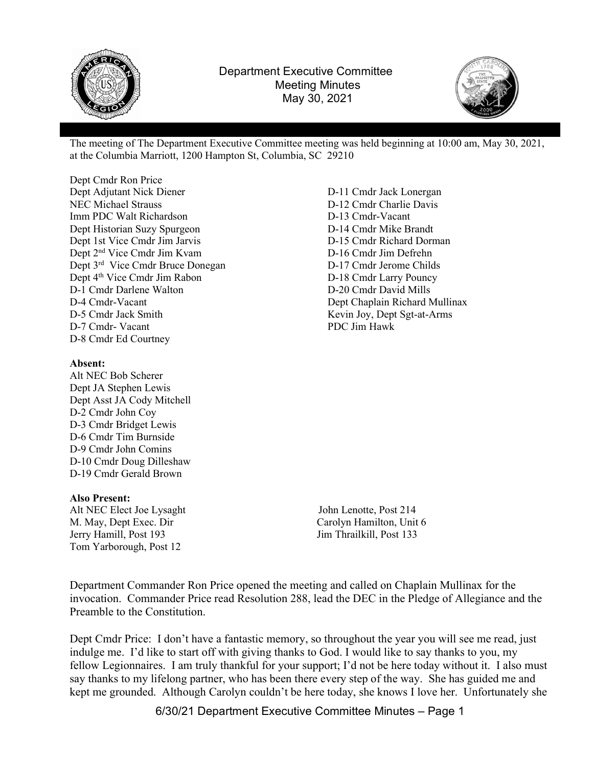



The meeting of The Department Executive Committee meeting was held beginning at 10:00 am, May 30, 2021, at the Columbia Marriott, 1200 Hampton St, Columbia, SC 29210

Dept Cmdr Ron Price Dept Adjutant Nick Diener NEC Michael Strauss Imm PDC Walt Richardson Dept Historian Suzy Spurgeon Dept 1st Vice Cmdr Jim Jarvis Dept 2nd Vice Cmdr Jim Kvam Dept 3rd Vice Cmdr Bruce Donegan Dept 4<sup>th</sup> Vice Cmdr Jim Rabon D-1 Cmdr Darlene Walton D-4 Cmdr-Vacant D-5 Cmdr Jack Smith D-7 Cmdr- Vacant D-8 Cmdr Ed Courtney

## Absent:

Alt NEC Bob Scherer Dept JA Stephen Lewis Dept Asst JA Cody Mitchell D-2 Cmdr John Coy D-3 Cmdr Bridget Lewis D-6 Cmdr Tim Burnside D-9 Cmdr John Comins D-10 Cmdr Doug Dilleshaw D-19 Cmdr Gerald Brown

## Also Present:

Alt NEC Elect Joe Lysaght John Lenotte, Post 214 M. May, Dept Exec. Dir Carolyn Hamilton, Unit 6 Jerry Hamill, Post 193 Jim Thrailkill, Post 133 Tom Yarborough, Post 12

D-11 Cmdr Jack Lonergan D-12 Cmdr Charlie Davis D-13 Cmdr-Vacant D-14 Cmdr Mike Brandt D-15 Cmdr Richard Dorman D-16 Cmdr Jim Defrehn D-17 Cmdr Jerome Childs D-18 Cmdr Larry Pouncy D-20 Cmdr David Mills Dept Chaplain Richard Mullinax Kevin Joy, Dept Sgt-at-Arms PDC Jim Hawk

Department Commander Ron Price opened the meeting and called on Chaplain Mullinax for the invocation. Commander Price read Resolution 288, lead the DEC in the Pledge of Allegiance and the Preamble to the Constitution.

Dept Cmdr Price: I don't have a fantastic memory, so throughout the year you will see me read, just indulge me. I'd like to start off with giving thanks to God. I would like to say thanks to you, my fellow Legionnaires. I am truly thankful for your support; I'd not be here today without it. I also must say thanks to my lifelong partner, who has been there every step of the way. She has guided me and kept me grounded. Although Carolyn couldn't be here today, she knows I love her. Unfortunately she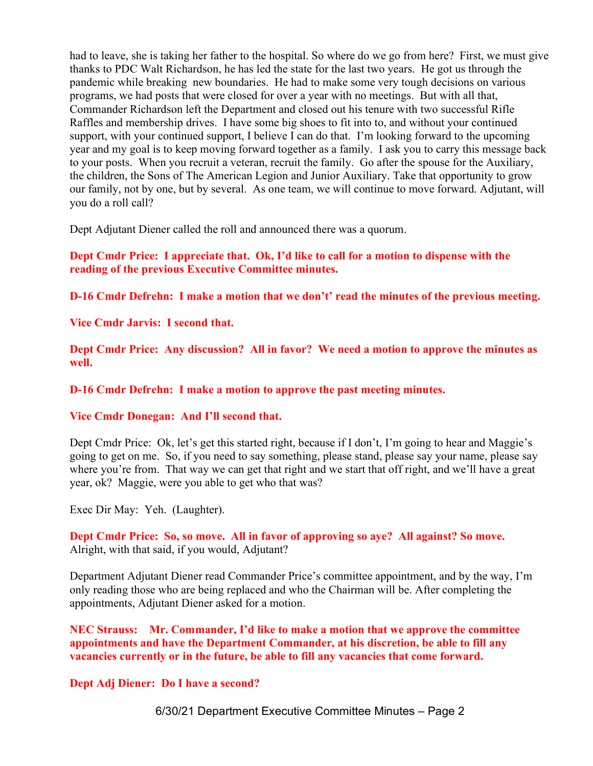had to leave, she is taking her father to the hospital. So where do we go from here? First, we must give thanks to PDC Walt Richardson, he has led the state for the last two years. He got us through the pandemic while breaking new boundaries. He had to make some very tough decisions on various programs, we had posts that were closed for over a year with no meetings. But with all that, Commander Richardson left the Department and closed out his tenure with two successful Rifle Raffles and membership drives. I have some big shoes to fit into to, and without your continued support, with your continued support, I believe I can do that. I'm looking forward to the upcoming year and my goal is to keep moving forward together as a family. I ask you to carry this message back to your posts. When you recruit a veteran, recruit the family. Go after the spouse for the Auxiliary, the children, the Sons of The American Legion and Junior Auxiliary. Take that opportunity to grow our family, not by one, but by several. As one team, we will continue to move forward. Adjutant, will you do a roll call?

Dept Adjutant Diener called the roll and announced there was a quorum.

Dept Cmdr Price: I appreciate that. Ok, I'd like to call for a motion to dispense with the reading of the previous Executive Committee minutes.

D-16 Cmdr Defrehn: I make a motion that we don't' read the minutes of the previous meeting.

Vice Cmdr Jarvis: I second that.

Dept Cmdr Price: Any discussion? All in favor? We need a motion to approve the minutes as well.

D-16 Cmdr Defrehn: I make a motion to approve the past meeting minutes.

Vice Cmdr Donegan: And I'll second that.

Dept Cmdr Price: Ok, let's get this started right, because if I don't, I'm going to hear and Maggie's going to get on me. So, if you need to say something, please stand, please say your name, please say where you're from. That way we can get that right and we start that off right, and we'll have a great year, ok? Maggie, were you able to get who that was?

Exec Dir May: Yeh. (Laughter).

Dept Cmdr Price: So, so move. All in favor of approving so aye? All against? So move. Alright, with that said, if you would, Adjutant?

Department Adjutant Diener read Commander Price's committee appointment, and by the way, I'm only reading those who are being replaced and who the Chairman will be. After completing the appointments, Adjutant Diener asked for a motion.

NEC Strauss: Mr. Commander, I'd like to make a motion that we approve the committee appointments and have the Department Commander, at his discretion, be able to fill any vacancies currently or in the future, be able to fill any vacancies that come forward.

Dept Adj Diener: Do I have a second?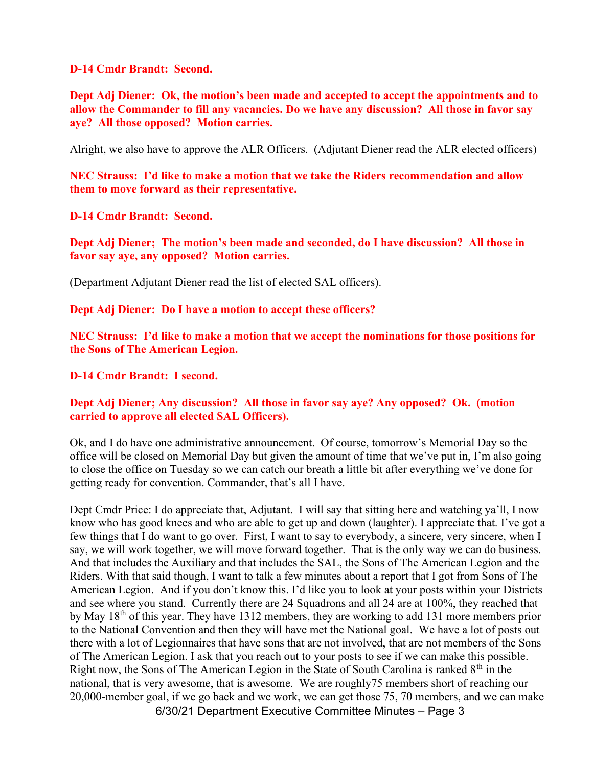D-14 Cmdr Brandt: Second.

Dept Adj Diener: Ok, the motion's been made and accepted to accept the appointments and to allow the Commander to fill any vacancies. Do we have any discussion? All those in favor say aye? All those opposed? Motion carries.

Alright, we also have to approve the ALR Officers. (Adjutant Diener read the ALR elected officers)

NEC Strauss: I'd like to make a motion that we take the Riders recommendation and allow them to move forward as their representative.

D-14 Cmdr Brandt: Second.

Dept Adj Diener; The motion's been made and seconded, do I have discussion? All those in favor say aye, any opposed? Motion carries.

(Department Adjutant Diener read the list of elected SAL officers).

Dept Adj Diener: Do I have a motion to accept these officers?

NEC Strauss: I'd like to make a motion that we accept the nominations for those positions for the Sons of The American Legion.

D-14 Cmdr Brandt: I second.

Dept Adj Diener; Any discussion? All those in favor say aye? Any opposed? Ok. (motion carried to approve all elected SAL Officers).

Ok, and I do have one administrative announcement. Of course, tomorrow's Memorial Day so the office will be closed on Memorial Day but given the amount of time that we've put in, I'm also going to close the office on Tuesday so we can catch our breath a little bit after everything we've done for getting ready for convention. Commander, that's all I have.

Dept Cmdr Price: I do appreciate that, Adjutant. I will say that sitting here and watching ya'll, I now know who has good knees and who are able to get up and down (laughter). I appreciate that. I've got a few things that I do want to go over. First, I want to say to everybody, a sincere, very sincere, when I say, we will work together, we will move forward together. That is the only way we can do business. And that includes the Auxiliary and that includes the SAL, the Sons of The American Legion and the Riders. With that said though, I want to talk a few minutes about a report that I got from Sons of The American Legion. And if you don't know this. I'd like you to look at your posts within your Districts and see where you stand. Currently there are 24 Squadrons and all 24 are at 100%, they reached that by May 18th of this year. They have 1312 members, they are working to add 131 more members prior to the National Convention and then they will have met the National goal. We have a lot of posts out there with a lot of Legionnaires that have sons that are not involved, that are not members of the Sons of The American Legion. I ask that you reach out to your posts to see if we can make this possible. Right now, the Sons of The American Legion in the State of South Carolina is ranked  $8<sup>th</sup>$  in the national, that is very awesome, that is awesome. We are roughly75 members short of reaching our 20,000-member goal, if we go back and we work, we can get those 75, 70 members, and we can make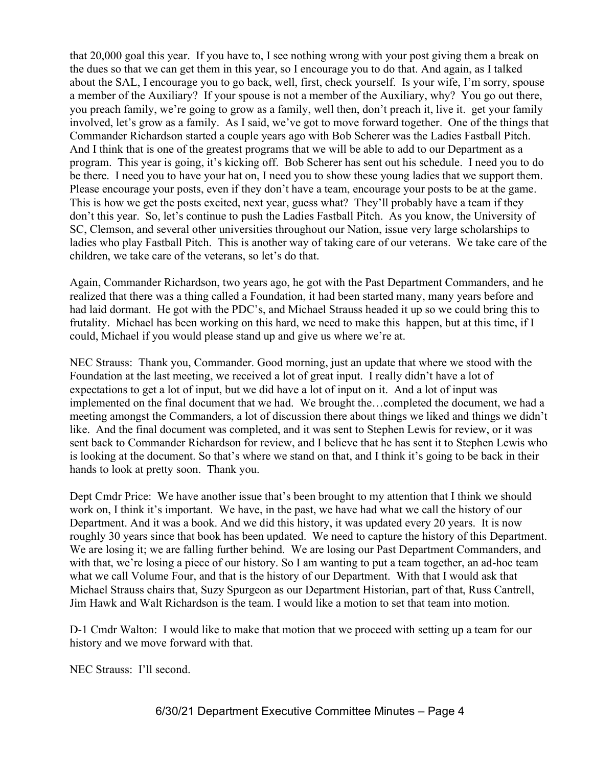that 20,000 goal this year. If you have to, I see nothing wrong with your post giving them a break on the dues so that we can get them in this year, so I encourage you to do that. And again, as I talked about the SAL, I encourage you to go back, well, first, check yourself. Is your wife, I'm sorry, spouse a member of the Auxiliary? If your spouse is not a member of the Auxiliary, why? You go out there, you preach family, we're going to grow as a family, well then, don't preach it, live it. get your family involved, let's grow as a family. As I said, we've got to move forward together. One of the things that Commander Richardson started a couple years ago with Bob Scherer was the Ladies Fastball Pitch. And I think that is one of the greatest programs that we will be able to add to our Department as a program. This year is going, it's kicking off. Bob Scherer has sent out his schedule. I need you to do be there. I need you to have your hat on, I need you to show these young ladies that we support them. Please encourage your posts, even if they don't have a team, encourage your posts to be at the game. This is how we get the posts excited, next year, guess what? They'll probably have a team if they don't this year. So, let's continue to push the Ladies Fastball Pitch. As you know, the University of SC, Clemson, and several other universities throughout our Nation, issue very large scholarships to ladies who play Fastball Pitch. This is another way of taking care of our veterans. We take care of the children, we take care of the veterans, so let's do that.

Again, Commander Richardson, two years ago, he got with the Past Department Commanders, and he realized that there was a thing called a Foundation, it had been started many, many years before and had laid dormant. He got with the PDC's, and Michael Strauss headed it up so we could bring this to frutality. Michael has been working on this hard, we need to make this happen, but at this time, if I could, Michael if you would please stand up and give us where we're at.

NEC Strauss: Thank you, Commander. Good morning, just an update that where we stood with the Foundation at the last meeting, we received a lot of great input. I really didn't have a lot of expectations to get a lot of input, but we did have a lot of input on it. And a lot of input was implemented on the final document that we had. We brought the…completed the document, we had a meeting amongst the Commanders, a lot of discussion there about things we liked and things we didn't like. And the final document was completed, and it was sent to Stephen Lewis for review, or it was sent back to Commander Richardson for review, and I believe that he has sent it to Stephen Lewis who is looking at the document. So that's where we stand on that, and I think it's going to be back in their hands to look at pretty soon. Thank you.

Dept Cmdr Price: We have another issue that's been brought to my attention that I think we should work on, I think it's important. We have, in the past, we have had what we call the history of our Department. And it was a book. And we did this history, it was updated every 20 years. It is now roughly 30 years since that book has been updated. We need to capture the history of this Department. We are losing it; we are falling further behind. We are losing our Past Department Commanders, and with that, we're losing a piece of our history. So I am wanting to put a team together, an ad-hoc team what we call Volume Four, and that is the history of our Department. With that I would ask that Michael Strauss chairs that, Suzy Spurgeon as our Department Historian, part of that, Russ Cantrell, Jim Hawk and Walt Richardson is the team. I would like a motion to set that team into motion.

D-1 Cmdr Walton: I would like to make that motion that we proceed with setting up a team for our history and we move forward with that.

NEC Strauss: I'll second.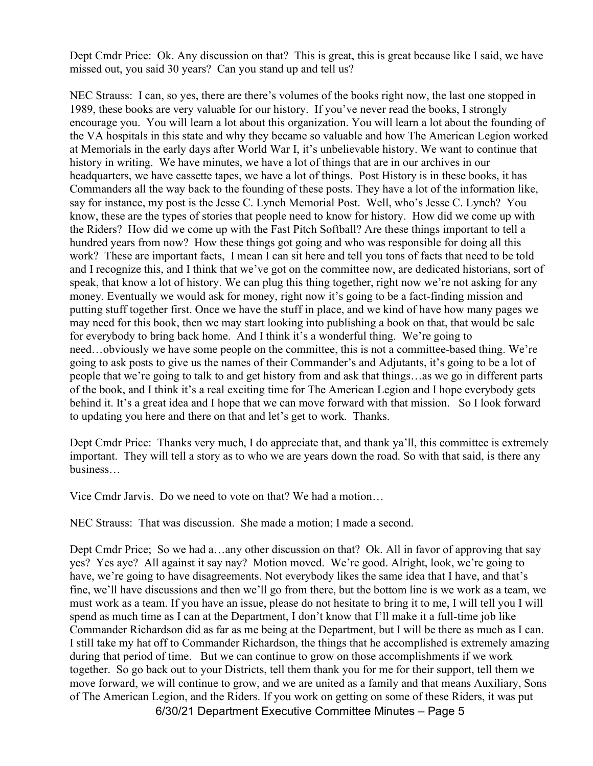Dept Cmdr Price: Ok. Any discussion on that? This is great, this is great because like I said, we have missed out, you said 30 years? Can you stand up and tell us?

NEC Strauss: I can, so yes, there are there's volumes of the books right now, the last one stopped in 1989, these books are very valuable for our history. If you've never read the books, I strongly encourage you. You will learn a lot about this organization. You will learn a lot about the founding of the VA hospitals in this state and why they became so valuable and how The American Legion worked at Memorials in the early days after World War I, it's unbelievable history. We want to continue that history in writing. We have minutes, we have a lot of things that are in our archives in our headquarters, we have cassette tapes, we have a lot of things. Post History is in these books, it has Commanders all the way back to the founding of these posts. They have a lot of the information like, say for instance, my post is the Jesse C. Lynch Memorial Post. Well, who's Jesse C. Lynch? You know, these are the types of stories that people need to know for history. How did we come up with the Riders? How did we come up with the Fast Pitch Softball? Are these things important to tell a hundred years from now? How these things got going and who was responsible for doing all this work? These are important facts, I mean I can sit here and tell you tons of facts that need to be told and I recognize this, and I think that we've got on the committee now, are dedicated historians, sort of speak, that know a lot of history. We can plug this thing together, right now we're not asking for any money. Eventually we would ask for money, right now it's going to be a fact-finding mission and putting stuff together first. Once we have the stuff in place, and we kind of have how many pages we may need for this book, then we may start looking into publishing a book on that, that would be sale for everybody to bring back home. And I think it's a wonderful thing. We're going to need…obviously we have some people on the committee, this is not a committee-based thing. We're going to ask posts to give us the names of their Commander's and Adjutants, it's going to be a lot of people that we're going to talk to and get history from and ask that things…as we go in different parts of the book, and I think it's a real exciting time for The American Legion and I hope everybody gets behind it. It's a great idea and I hope that we can move forward with that mission. So I look forward to updating you here and there on that and let's get to work. Thanks.

Dept Cmdr Price: Thanks very much, I do appreciate that, and thank ya'll, this committee is extremely important. They will tell a story as to who we are years down the road. So with that said, is there any business…

Vice Cmdr Jarvis. Do we need to vote on that? We had a motion…

NEC Strauss: That was discussion. She made a motion; I made a second.

Dept Cmdr Price; So we had a…any other discussion on that? Ok. All in favor of approving that say yes? Yes aye? All against it say nay? Motion moved. We're good. Alright, look, we're going to have, we're going to have disagreements. Not everybody likes the same idea that I have, and that's fine, we'll have discussions and then we'll go from there, but the bottom line is we work as a team, we must work as a team. If you have an issue, please do not hesitate to bring it to me, I will tell you I will spend as much time as I can at the Department, I don't know that I'll make it a full-time job like Commander Richardson did as far as me being at the Department, but I will be there as much as I can. I still take my hat off to Commander Richardson, the things that he accomplished is extremely amazing during that period of time. But we can continue to grow on those accomplishments if we work together. So go back out to your Districts, tell them thank you for me for their support, tell them we move forward, we will continue to grow, and we are united as a family and that means Auxiliary, Sons of The American Legion, and the Riders. If you work on getting on some of these Riders, it was put